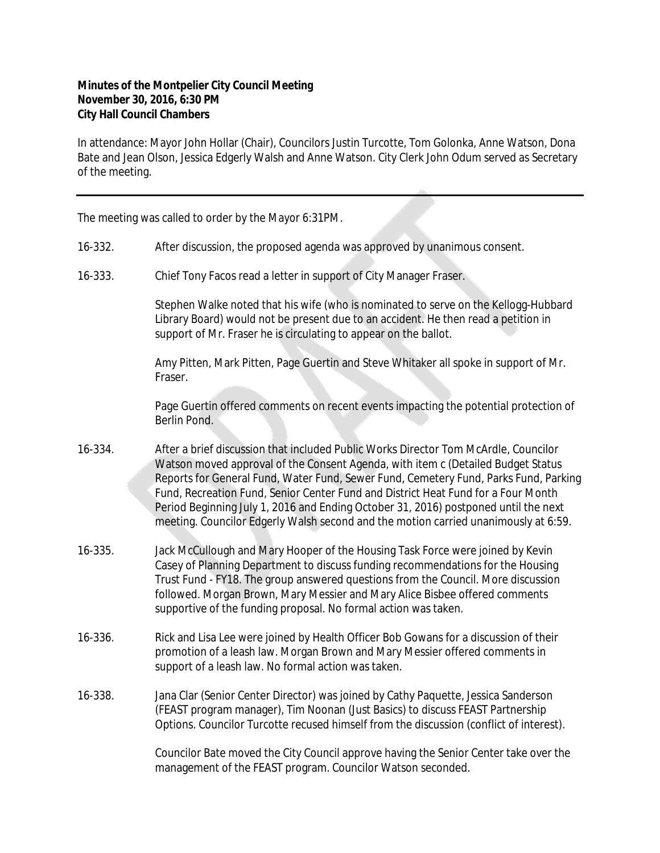## **Minutes of the Montpelier City Council Meeting November 30, 2016, 6:30 PM City Hall Council Chambers**

In attendance: Mayor John Hollar (Chair), Councilors Justin Turcotte, Tom Golonka, Anne Watson, Dona Bate and Jean Olson, Jessica Edgerly Walsh and Anne Watson. City Clerk John Odum served as Secretary of the meeting.

The meeting was called to order by the Mayor 6:31PM.

- 16-332. After discussion, the proposed agenda was approved by unanimous consent.
- 16-333. Chief Tony Facos read a letter in support of City Manager Fraser.

Stephen Walke noted that his wife (who is nominated to serve on the Kellogg-Hubbard Library Board) would not be present due to an accident. He then read a petition in support of Mr. Fraser he is circulating to appear on the ballot.

Amy Pitten, Mark Pitten, Page Guertin and Steve Whitaker all spoke in support of Mr. Fraser.

Page Guertin offered comments on recent events impacting the potential protection of Berlin Pond.

- 16-334. After a brief discussion that included Public Works Director Tom McArdle, Councilor Watson moved approval of the Consent Agenda, with item c (Detailed Budget Status Reports for General Fund, Water Fund, Sewer Fund, Cemetery Fund, Parks Fund, Parking Fund, Recreation Fund, Senior Center Fund and District Heat Fund for a Four Month Period Beginning July 1, 2016 and Ending October 31, 2016) postponed until the next meeting. Councilor Edgerly Walsh second and the motion carried unanimously at 6:59.
- 16-335. Jack McCullough and Mary Hooper of the Housing Task Force were joined by Kevin Casey of Planning Department to discuss funding recommendations for the Housing Trust Fund - FY18. The group answered questions from the Council. More discussion followed. Morgan Brown, Mary Messier and Mary Alice Bisbee offered comments supportive of the funding proposal. No formal action was taken.
- 16-336. Rick and Lisa Lee were joined by Health Officer Bob Gowans for a discussion of their promotion of a leash law. Morgan Brown and Mary Messier offered comments in support of a leash law. No formal action was taken.
- 16-338. Jana Clar (Senior Center Director) was joined by Cathy Paquette, Jessica Sanderson (FEAST program manager), Tim Noonan (Just Basics) to discuss FEAST Partnership Options. Councilor Turcotte recused himself from the discussion (conflict of interest).

Councilor Bate moved the City Council approve having the Senior Center take over the management of the FEAST program. Councilor Watson seconded.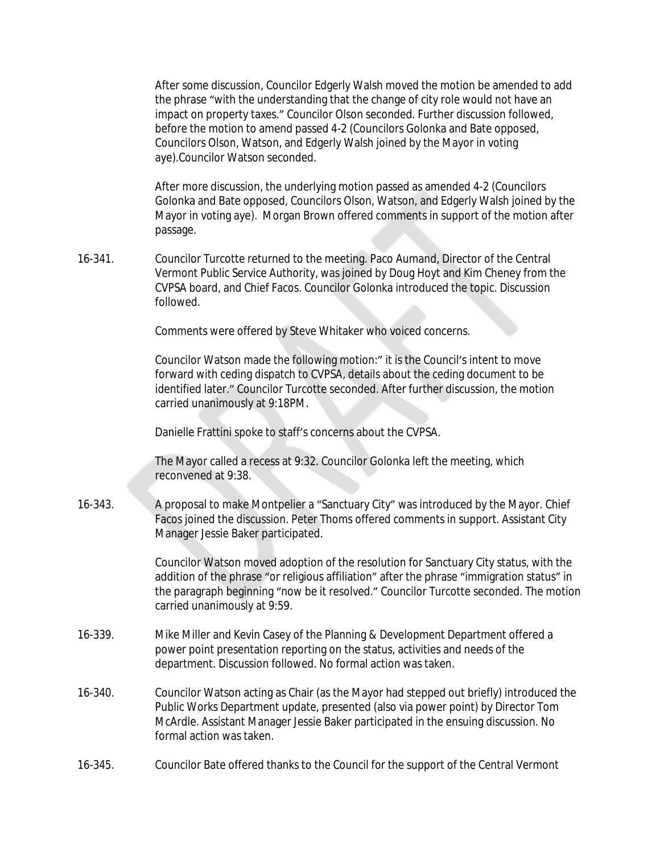After some discussion, Councilor Edgerly Walsh moved the motion be amended to add the phrase "with the understanding that the change of city role would not have an impact on property taxes." Councilor Olson seconded. Further discussion followed, before the motion to amend passed 4-2 (Councilors Golonka and Bate opposed, Councilors Olson, Watson, and Edgerly Walsh joined by the Mayor in voting aye).Councilor Watson seconded.

After more discussion, the underlying motion passed as amended 4-2 (Councilors Golonka and Bate opposed, Councilors Olson, Watson, and Edgerly Walsh joined by the Mayor in voting aye). Morgan Brown offered comments in support of the motion after passage.

16-341. Councilor Turcotte returned to the meeting. Paco Aumand, Director of the Central Vermont Public Service Authority, was joined by Doug Hoyt and Kim Cheney from the CVPSA board, and Chief Facos. Councilor Golonka introduced the topic. Discussion followed.

Comments were offered by Steve Whitaker who voiced concerns.

Councilor Watson made the following motion:" it is the Council's intent to move forward with ceding dispatch to CVPSA, details about the ceding document to be identified later." Councilor Turcotte seconded. After further discussion, the motion carried unanimously at 9:18PM.

Danielle Frattini spoke to staff's concerns about the CVPSA.

The Mayor called a recess at 9:32. Councilor Golonka left the meeting, which reconvened at 9:38.

16-343. A proposal to make Montpelier a "Sanctuary City" was introduced by the Mayor. Chief Facos joined the discussion. Peter Thoms offered comments in support. Assistant City Manager Jessie Baker participated.

> Councilor Watson moved adoption of the resolution for Sanctuary City status, with the addition of the phrase "or religious affiliation" after the phrase "immigration status" in the paragraph beginning "now be it resolved." Councilor Turcotte seconded. The motion carried unanimously at 9:59.

- 16-339. Mike Miller and Kevin Casey of the Planning & Development Department offered a power point presentation reporting on the status, activities and needs of the department. Discussion followed. No formal action was taken.
- 16-340. Councilor Watson acting as Chair (as the Mayor had stepped out briefly) introduced the Public Works Department update, presented (also via power point) by Director Tom McArdle. Assistant Manager Jessie Baker participated in the ensuing discussion. No formal action was taken.
- 16-345. Councilor Bate offered thanks to the Council for the support of the Central Vermont